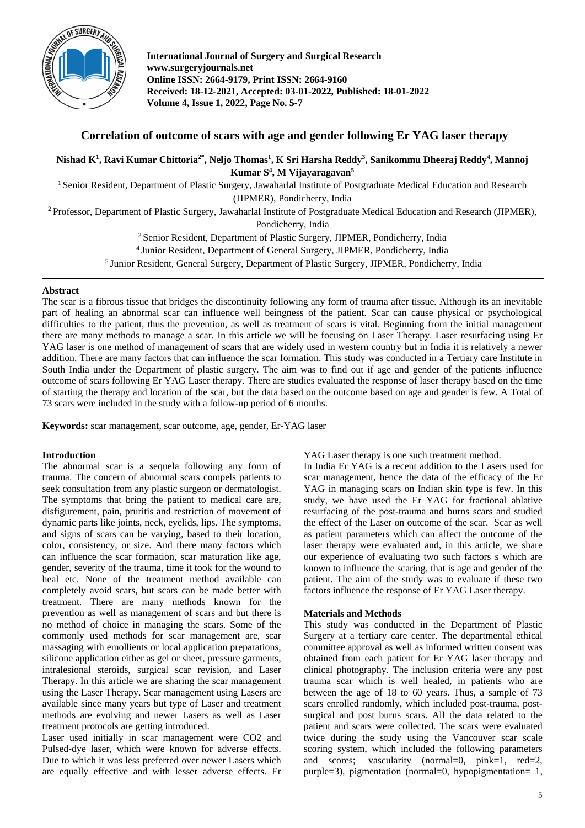

**International Journal of Surgery and Surgical Research www.surgeryjournals.net Online ISSN: 2664-9179, Print ISSN: 2664-9160 Received: 18-12-2021, Accepted: 03-01-2022, Published: 18-01-2022 Volume 4, Issue 1, 2022, Page No. 5-7**

# **Correlation of outcome of scars with age and gender following Er YAG laser therapy**

# **Nishad K1 , Ravi Kumar Chittoria2\* , Neljo Thomas1 , K Sri Harsha Reddy3 , Sanikommu Dheeraj Reddy4 , Mannoj Kumar S4 , M Vijayaragavan5**

<sup>1</sup> Senior Resident, Department of Plastic Surgery, Jawaharlal Institute of Postgraduate Medical Education and Research (JIPMER), Pondicherry, India

<sup>2</sup> Professor, Department of Plastic Surgery, Jawaharlal Institute of Postgraduate Medical Education and Research (JIPMER),

Pondicherry, India

<sup>3</sup> Senior Resident, Department of Plastic Surgery, JIPMER, Pondicherry, India

4 Junior Resident, Department of General Surgery, JIPMER, Pondicherry, India

5 Junior Resident, General Surgery, Department of Plastic Surgery, JIPMER, Pondicherry, India

#### **Abstract**

The scar is a fibrous tissue that bridges the discontinuity following any form of trauma after tissue. Although its an inevitable part of healing an abnormal scar can influence well beingness of the patient. Scar can cause physical or psychological difficulties to the patient, thus the prevention, as well as treatment of scars is vital. Beginning from the initial management there are many methods to manage a scar. In this article we will be focusing on Laser Therapy. Laser resurfacing using Er YAG laser is one method of management of scars that are widely used in western country but in India it is relatively a newer addition. There are many factors that can influence the scar formation. This study was conducted in a Tertiary care Institute in South India under the Department of plastic surgery. The aim was to find out if age and gender of the patients influence outcome of scars following Er YAG Laser therapy. There are studies evaluated the response of laser therapy based on the time of starting the therapy and location of the scar, but the data based on the outcome based on age and gender is few. A Total of 73 scars were included in the study with a follow-up period of 6 months.

**Keywords:** scar management, scar outcome, age, gender, Er-YAG laser

## **Introduction**

The abnormal scar is a sequela following any form of trauma. The concern of abnormal scars compels patients to seek consultation from any plastic surgeon or dermatologist. The symptoms that bring the patient to medical care are, disfigurement, pain, pruritis and restriction of movement of dynamic parts like joints, neck, eyelids, lips. The symptoms, and signs of scars can be varying, based to their location, color, consistency, or size. And there many factors which can influence the scar formation, scar maturation like age, gender, severity of the trauma, time it took for the wound to heal etc. None of the treatment method available can completely avoid scars, but scars can be made better with treatment. There are many methods known for the prevention as well as management of scars and but there is no method of choice in managing the scars. Some of the commonly used methods for scar management are, scar massaging with emollients or local application preparations, silicone application either as gel or sheet, pressure garments, intralesional steroids, surgical scar revision, and Laser Therapy. In this article we are sharing the scar management using the Laser Therapy. Scar management using Lasers are available since many years but type of Laser and treatment methods are evolving and newer Lasers as well as Laser treatment protocols are getting introduced.

Laser used initially in scar management were CO2 and Pulsed-dye laser, which were known for adverse effects. Due to which it was less preferred over newer Lasers which are equally effective and with lesser adverse effects. Er YAG Laser therapy is one such treatment method.

In India Er YAG is a recent addition to the Lasers used for scar management, hence the data of the efficacy of the Er YAG in managing scars on Indian skin type is few. In this study, we have used the Er YAG for fractional ablative resurfacing of the post-trauma and burns scars and studied the effect of the Laser on outcome of the scar. Scar as well as patient parameters which can affect the outcome of the laser therapy were evaluated and, in this article, we share our experience of evaluating two such factors s which are known to influence the scaring, that is age and gender of the patient. The aim of the study was to evaluate if these two factors influence the response of Er YAG Laser therapy.

## **Materials and Methods**

This study was conducted in the Department of Plastic Surgery at a tertiary care center. The departmental ethical committee approval as well as informed written consent was obtained from each patient for Er YAG laser therapy and clinical photography. The inclusion criteria were any post trauma scar which is well healed, in patients who are between the age of 18 to 60 years. Thus, a sample of 73 scars enrolled randomly, which included post-trauma, postsurgical and post burns scars. All the data related to the patient and scars were collected. The scars were evaluated twice during the study using the Vancouver scar scale scoring system, which included the following parameters and scores; vascularity (normal=0, pink=1, red=2, purple=3), pigmentation (normal=0, hypopigmentation= 1,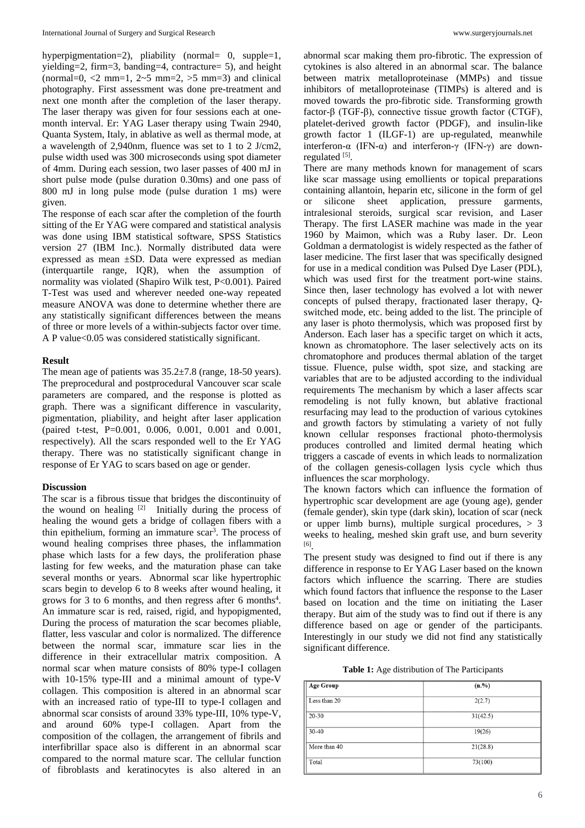hyperpigmentation=2), pliability (normal= 0, supple=1, yielding=2, firm=3, banding=4, contracture= 5), and height (normal=0,  $< 2$  mm=1,  $2< 5$  mm=2,  $> 5$  mm=3) and clinical photography. First assessment was done pre-treatment and next one month after the completion of the laser therapy. The laser therapy was given for four sessions each at onemonth interval. Er: YAG Laser therapy using Twain 2940, Quanta System, Italy, in ablative as well as thermal mode, at a wavelength of 2,940nm, fluence was set to 1 to 2 J/cm2, pulse width used was 300 microseconds using spot diameter of 4mm. During each session, two laser passes of 400 mJ in short pulse mode (pulse duration 0.30ms) and one pass of 800 mJ in long pulse mode (pulse duration 1 ms) were given.

The response of each scar after the completion of the fourth sitting of the Er YAG were compared and statistical analysis was done using IBM statistical software, SPSS Statistics version 27 (IBM Inc.). Normally distributed data were expressed as mean ±SD. Data were expressed as median (interquartile range, IQR), when the assumption of normality was violated (Shapiro Wilk test, P<0.001). Paired T-Test was used and wherever needed one-way repeated measure ANOVA was done to determine whether there are any statistically significant differences between the means of three or more levels of a within-subjects factor over time. A P value<0.05 was considered statistically significant.

#### **Result**

The mean age of patients was  $35.2\pm7.8$  (range, 18-50 years). The preprocedural and postprocedural Vancouver scar scale parameters are compared, and the response is plotted as graph. There was a significant difference in vascularity, pigmentation, pliability, and height after laser application (paired t-test, P=0.001, 0.006, 0.001, 0.001 and 0.001, respectively). All the scars responded well to the Er YAG therapy. There was no statistically significant change in response of Er YAG to scars based on age or gender.

#### **Discussion**

The scar is a fibrous tissue that bridges the discontinuity of the wound on healing  $[2]$  Initially during the process of healing the wound gets a bridge of collagen fibers with a thin epithelium, forming an immature scar<sup>3</sup>. The process of wound healing comprises three phases, the inflammation phase which lasts for a few days, the proliferation phase lasting for few weeks, and the maturation phase can take several months or years. Abnormal scar like hypertrophic scars begin to develop 6 to 8 weeks after wound healing, it grows for 3 to 6 months, and then regress after 6 months<sup>4</sup>. An immature scar is red, raised, rigid, and hypopigmented, During the process of maturation the scar becomes pliable, flatter, less vascular and color is normalized. The difference between the normal scar, immature scar lies in the difference in their extracellular matrix composition. A normal scar when mature consists of 80% type-I collagen with 10-15% type-III and a minimal amount of type-V collagen. This composition is altered in an abnormal scar with an increased ratio of type-III to type-I collagen and abnormal scar consists of around 33% type-III, 10% type-V, and around 60% type-I collagen. Apart from the composition of the collagen, the arrangement of fibrils and interfibrillar space also is different in an abnormal scar compared to the normal mature scar. The cellular function of fibroblasts and keratinocytes is also altered in an

abnormal scar making them pro-fibrotic. The expression of cytokines is also altered in an abnormal scar. The balance between matrix metalloproteinase (MMPs) and tissue inhibitors of metalloproteinase (TIMPs) is altered and is moved towards the pro-fibrotic side. Transforming growth factor-β (TGF-β), connective tissue growth factor (CTGF), platelet-derived growth factor (PDGF), and insulin-like growth factor 1 (ILGF-1) are up-regulated, meanwhile interferon-α (IFN-α) and interferon-γ (IFN-γ) are downregulated [5].

There are many methods known for management of scars like scar massage using emollients or topical preparations containing allantoin, heparin etc, silicone in the form of gel or silicone sheet application, pressure garments, intralesional steroids, surgical scar revision, and Laser Therapy. The first LASER machine was made in the year 1960 by Maimon, which was a Ruby laser. Dr. Leon Goldman a dermatologist is widely respected as the father of laser medicine. The first laser that was specifically designed for use in a medical condition was Pulsed Dye Laser (PDL), which was used first for the treatment port-wine stains. Since then, laser technology has evolved a lot with newer concepts of pulsed therapy, fractionated laser therapy, Qswitched mode, etc. being added to the list. The principle of any laser is photo thermolysis, which was proposed first by Anderson. Each laser has a specific target on which it acts, known as chromatophore. The laser selectively acts on its chromatophore and produces thermal ablation of the target tissue. Fluence, pulse width, spot size, and stacking are variables that are to be adjusted according to the individual requirements The mechanism by which a laser affects scar remodeling is not fully known, but ablative fractional resurfacing may lead to the production of various cytokines and growth factors by stimulating a variety of not fully known cellular responses fractional photo-thermolysis produces controlled and limited dermal heating which triggers a cascade of events in which leads to normalization of the collagen genesis-collagen lysis cycle which thus influences the scar morphology.

The known factors which can influence the formation of hypertrophic scar development are age (young age), gender (female gender), skin type (dark skin), location of scar (neck or upper limb burns), multiple surgical procedures, > 3 weeks to healing, meshed skin graft use, and burn severity [6] .

The present study was designed to find out if there is any difference in response to Er YAG Laser based on the known factors which influence the scarring. There are studies which found factors that influence the response to the Laser based on location and the time on initiating the Laser therapy. But aim of the study was to find out if there is any difference based on age or gender of the participants. Interestingly in our study we did not find any statistically significant difference.

**Table 1:** Age distribution of The Participants

| <b>Age Group</b> | $(n. \%)$ |
|------------------|-----------|
| Less than 20     | 2(2.7)    |
| 20-30            | 31(42.5)  |
| 30-40            | 19(26)    |
| More than 40     | 21(28.8)  |
| Total            | 73(100)   |